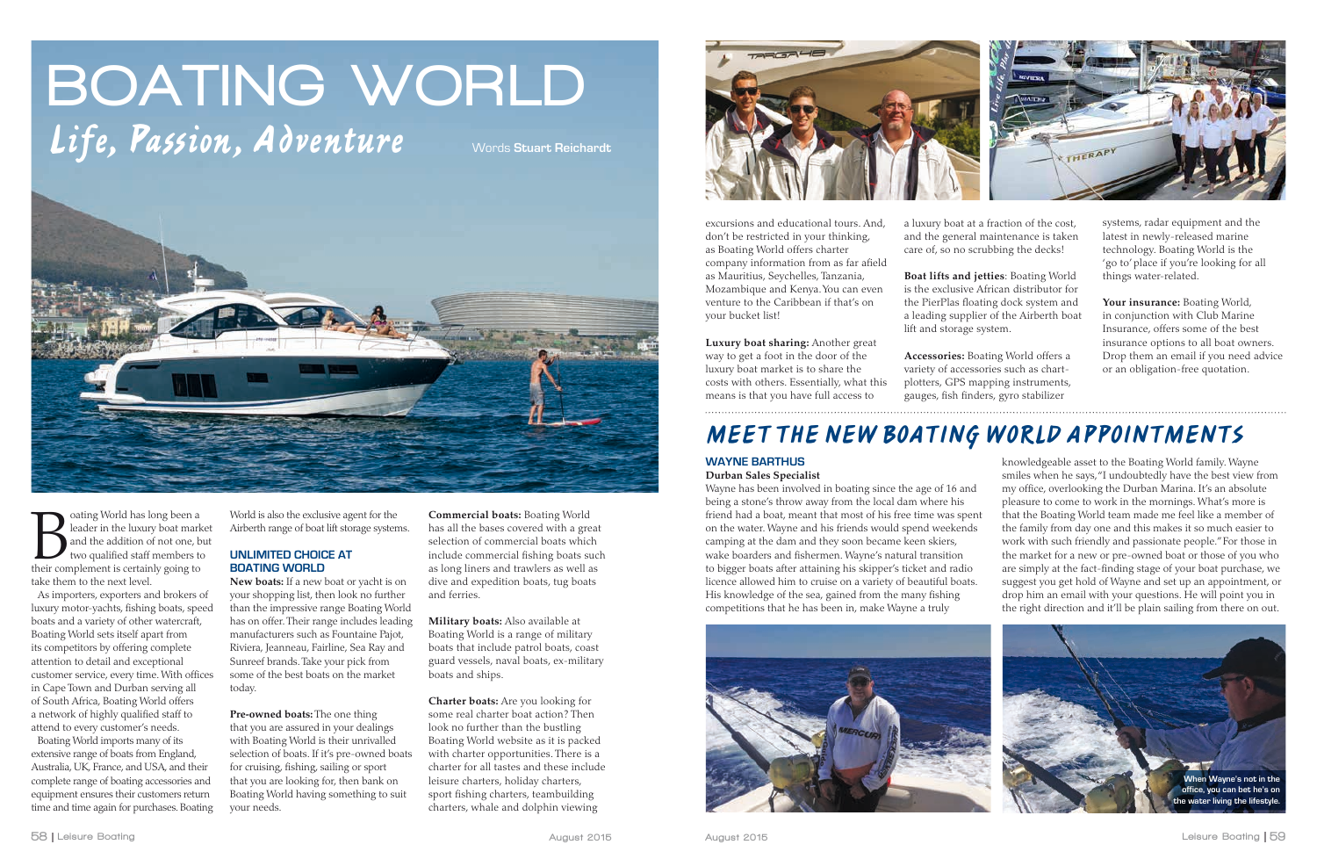# BOATING WORLD Life, Passion, Adventure Words Stuart Reichardt



**Example 1** as long been a leader in the luxury boat mark and the addition of not one, b two qualified staff members to their complement is certainly going to oating World has long been a leader in the luxury boat market and the addition of not one, but two qualified staff members to take them to the next level.

As importers, exporters and brokers of luxury motor-yachts, fishing boats, speed boats and a variety of other watercraft, Boating World sets itself apart from its competitors by offering complete attention to detail and exceptional customer service, every time. With offices in Cape Town and Durban serving all of South Africa, Boating World offers a network of highly qualified staff to attend to every customer's needs.

Boating World imports many of its extensive range of boats from England, Australia, UK, France, and USA, and their complete range of boating accessories and equipment ensures their customers return time and time again for purchases. Boating World is also the exclusive agent for the Airberth range of boat lift storage systems.

### **UNLIMITED CHOICE AT BOATING WORLD**

**New boats:** If a new boat or yacht is on your shopping list, then look no further than the impressive range Boating World has on offer. Their range includes leading manufacturers such as Fountaine Pajot, Riviera, Jeanneau, Fairline, Sea Ray and Sunreef brands. Take your pick from some of the best boats on the market today.

**Pre-owned boats:** The one thing that you are assured in your dealings with Boating World is their unrivalled selection of boats. If it's pre-owned boats for cruising, fishing, sailing or sport that you are looking for, then bank on Boating World having something to suit your needs.

**Commercial boats:** Boating World has all the bases covered with a great selection of commercial boats which include commercial fishing boats such as long liners and trawlers as well as dive and expedition boats, tug boats and ferries.

**Military boats:** Also available at Boating World is a range of military boats that include patrol boats, coast guard vessels, naval boats, ex-military boats and ships.

**Charter boats:** Are you looking for some real charter boat action? Then look no further than the bustling Boating World website as it is packed with charter opportunities. There is a charter for all tastes and these include leisure charters, holiday charters, sport fishing charters, teambuilding charters, whale and dolphin viewing



excursions and educational tours. And, don't be restricted in your thinking, as Boating World offers charter company information from as far afield as Mauritius, Seychelles, Tanzania, Mozambique and Kenya. You can even venture to the Caribbean if that's on your bucket list!

**Luxury boat sharing:** Another great way to get a foot in the door of the luxury boat market is to share the costs with others. Essentially, what this means is that you have full access to

a luxury boat at a fraction of the cost, and the general maintenance is taken care of, so no scrubbing the decks!

**Boat lifts and jetties**: Boating World is the exclusive African distributor for the PierPlas floating dock system and a leading supplier of the Airberth boat lift and storage system.

**Accessories:** Boating World offers a variety of accessories such as chartplotters, GPS mapping instruments, gauges, fish finders, gyro stabilizer

systems, radar equipment and the latest in newly-released marine technology. Boating World is the 'go to' place if you're looking for all things water-related.

**Your insurance:** Boating World, in conjunction with Club Marine Insurance, offers some of the best insurance options to all boat owners. Drop them an email if you need advice or an obligation-free quotation.

#### **WAYNE BARTHUS Durban Sales Specialist**

Wayne has been involved in boating since the age of 16 and being a stone's throw away from the local dam where his friend had a boat, meant that most of his free time was spent on the water. Wayne and his friends would spend weekends camping at the dam and they soon became keen skiers, wake boarders and fishermen. Wayne's natural transition to bigger boats after attaining his skipper's ticket and radio licence allowed him to cruise on a variety of beautiful boats. His knowledge of the sea, gained from the many fishing competitions that he has been in, make Wayne a truly

knowledgeable asset to the Boating World family. Wayne smiles when he says, "I undoubtedly have the best view from my office, overlooking the Durban Marina. It's an absolute pleasure to come to work in the mornings. What's more is that the Boating World team made me feel like a member of the family from day one and this makes it so much easier to work with such friendly and passionate people." For those in the market for a new or pre-owned boat or those of you who are simply at the fact-finding stage of your boat purchase, we suggest you get hold of Wayne and set up an appointment, or drop him an email with your questions. He will point you in the right direction and it'll be plain sailing from there on out.

## *MEET THE NEW BOATING WORLD APPOINTMENTS*